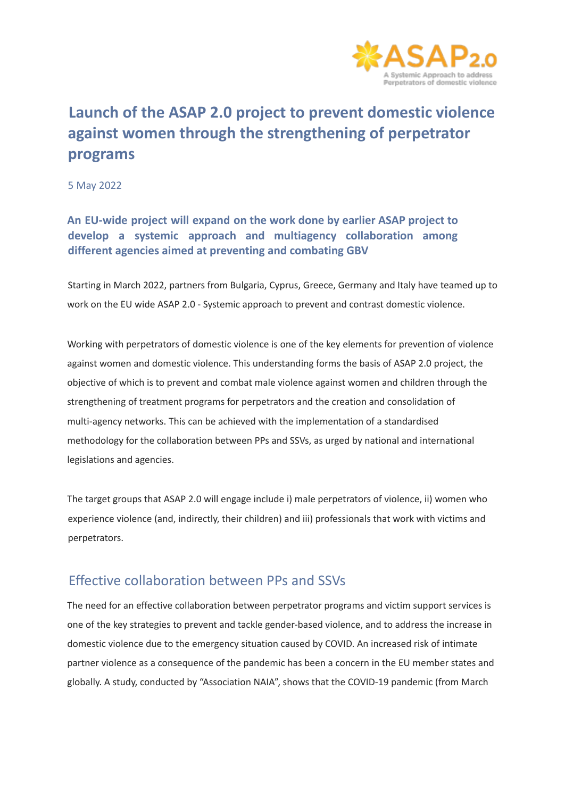

# **Launch of the ASAP 2.0 project to prevent domestic violence against women through the strengthening of perpetrator programs**

5 May 2022

#### **An EU-wide project will expand on the work done by earlier ASAP project to develop a systemic approach and multiagency collaboration among different agencies aimed at preventing and combating GBV**

Starting in March 2022, partners from Bulgaria, Cyprus, Greece, Germany and Italy have teamed up to work on the EU wide ASAP 2.0 - Systemic approach to prevent and contrast domestic violence.

Working with perpetrators of domestic violence is one of the key elements for prevention of violence against women and domestic violence. This understanding forms the basis of ASAP 2.0 project, the objective of which is to prevent and combat male violence against women and children through the strengthening of treatment programs for perpetrators and the creation and consolidation of multi-agency networks. This can be achieved with the implementation of a standardised methodology for the collaboration between PPs and SSVs, as urged by national and international legislations and agencies.

The target groups that ASAP 2.0 will engage include i) male perpetrators of violence, ii) women who experience violence (and, indirectly, their children) and iii) professionals that work with victims and perpetrators.

### Effective collaboration between PPs and SSVs

The need for an effective collaboration between perpetrator programs and victim support services is one of the key strategies to prevent and tackle gender-based violence, and to address the increase in domestic violence due to the emergency situation caused by COVID. An increased risk of intimate partner violence as a consequence of the pandemic has been a concern in the EU member states and globally. A study, conducted by "Association NAIA", shows that the COVID-19 pandemic (from March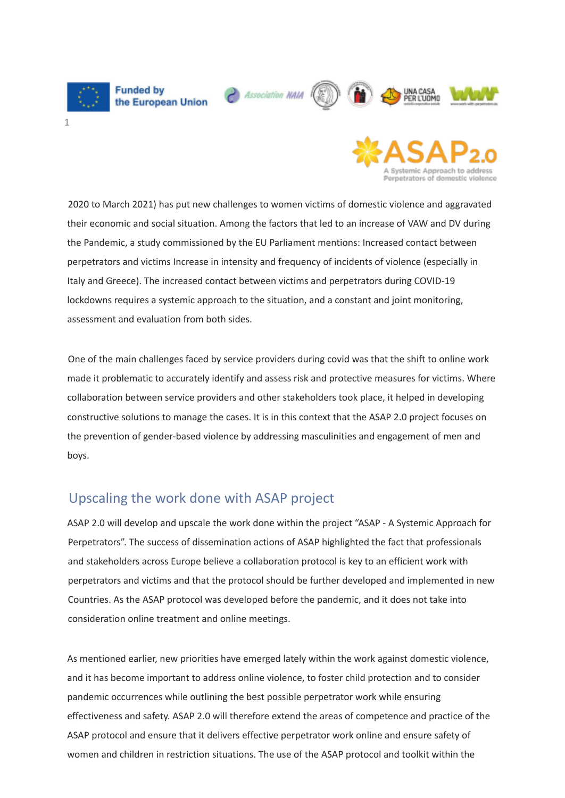

roetrators of domestic violence

2020 to March 2021) has put new challenges to women victims of domestic violence and aggravated their economic and social situation. Among the factors that led to an increase of VAW and DV during the Pandemic, a study commissioned by the EU Parliament mentions: Increased contact between perpetrators and victims Increase in intensity and frequency of incidents of violence (especially in Italy and Greece). The increased contact between victims and perpetrators during COVID-19 lockdowns requires a systemic approach to the situation, and a constant and joint monitoring. assessment and evaluation from both sides.

One of the main challenges faced by service providers during covid was that the shift to online work made it problematic to accurately identify and assess risk and protective measures for victims. Where collaboration between service providers and other stakeholders took place, it helped in developing constructive solutions to manage the cases. It is in this context that the ASAP 2.0 project focuses on the prevention of gender-based violence by addressing masculinities and engagement of men and boys.

### Upscaling the work done with ASAP project

ASAP 2.0 will develop and upscale the work done within the project "ASAP - A Systemic Approach for Perpetrators". The success of dissemination actions of ASAP highlighted the fact that professionals and stakeholders across Europe believe a collaboration protocol is key to an efficient work with perpetrators and victims and that the protocol should be further developed and implemented in new Countries. As the ASAP protocol was developed before the pandemic, and it does not take into consideration online treatment and online meetings.

As mentioned earlier, new priorities have emerged lately within the work against domestic violence, and it has become important to address online violence, to foster child protection and to consider pandemic occurrences while outlining the best possible perpetrator work while ensuring effectiveness and safety. ASAP 2.0 will therefore extend the areas of competence and practice of the ASAP protocol and ensure that it delivers effective perpetrator work online and ensure safety of women and children in restriction situations. The use of the ASAP protocol and toolkit within the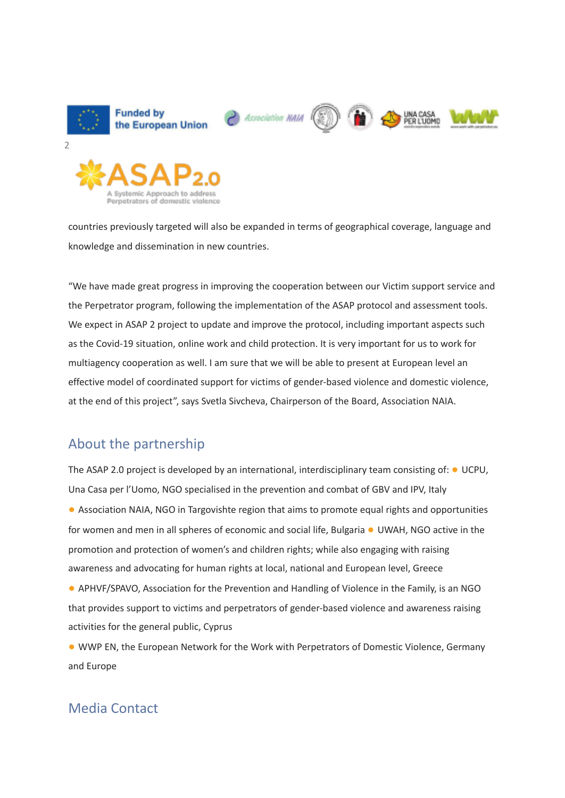

countries previously targeted will also be expanded in terms of geographical coverage, language and knowledge and dissemination in new countries.

"We have made great progress in improving the cooperation between our Victim support service and the Perpetrator program, following the implementation of the ASAP protocol and assessment tools. We expect in ASAP 2 project to update and improve the protocol, including important aspects such as the Covid-19 situation, online work and child protection. It is very important for us to work for multiagency cooperation as well. I am sure that we will be able to present at European level an effective model of coordinated support for victims of gender-based violence and domestic violence, at the end of this project", says Svetla Sivcheva, Chairperson of the Board, Association NAIA.

## About the partnership

etrators of domestic violence

The ASAP 2.0 project is developed by an international, interdisciplinary team consisting of: ● UCPU, Una Casa per l'Uomo, NGO specialised in the prevention and combat of GBV and IPV, Italy ● Association NAIA, NGO in Targovishte region that aims to promote equal rights and opportunities for women and men in all spheres of economic and social life, Bulgaria ● UWAH, NGO active in the promotion and protection of women's and children rights; while also engaging with raising awareness and advocating for human rights at local, national and European level, Greece

● APHVF/SPAVO, Association for the Prevention and Handling of Violence in the Family, is an NGO that provides support to victims and perpetrators of gender-based violence and awareness raising activities for the general public, Cyprus

● WWP EN, the European Network for the Work with Perpetrators of Domestic Violence, Germany and Europe

## Media Contact